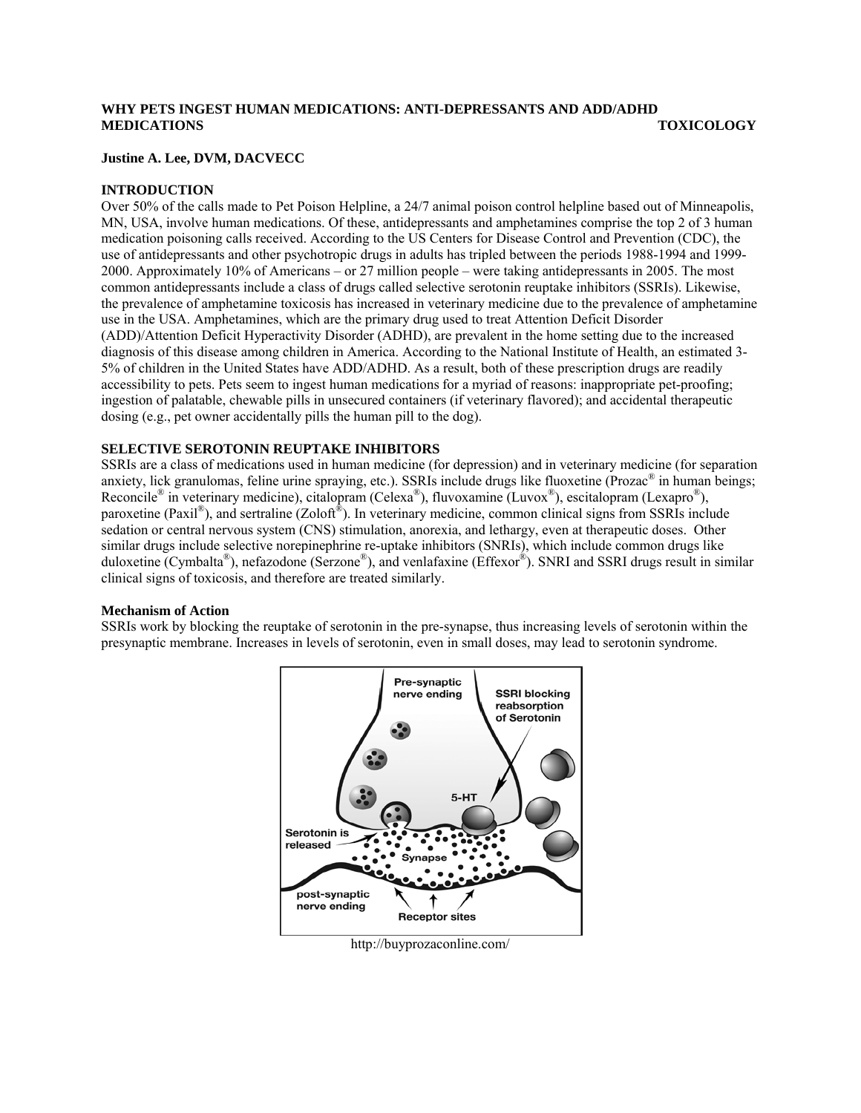# **WHY PETS INGEST HUMAN MEDICATIONS: ANTI-DEPRESSANTS AND ADD/ADHD MEDICATIONS TOXICOLOGY**

## **Justine A. Lee, DVM, DACVECC**

## **INTRODUCTION**

Over 50% of the calls made to Pet Poison Helpline, a 24/7 animal poison control helpline based out of Minneapolis, MN, USA, involve human medications. Of these, antidepressants and amphetamines comprise the top 2 of 3 human medication poisoning calls received. According to the US Centers for Disease Control and Prevention (CDC), the use of antidepressants and other psychotropic drugs in adults has tripled between the periods 1988-1994 and 1999- 2000. Approximately 10% of Americans – or 27 million people – were taking antidepressants in 2005. The most common antidepressants include a class of drugs called selective serotonin reuptake inhibitors (SSRIs). Likewise, the prevalence of amphetamine toxicosis has increased in veterinary medicine due to the prevalence of amphetamine use in the USA. Amphetamines, which are the primary drug used to treat Attention Deficit Disorder (ADD)/Attention Deficit Hyperactivity Disorder (ADHD), are prevalent in the home setting due to the increased diagnosis of this disease among children in America. According to the National Institute of Health, an estimated 3- 5% of children in the United States have ADD/ADHD. As a result, both of these prescription drugs are readily accessibility to pets. Pets seem to ingest human medications for a myriad of reasons: inappropriate pet-proofing; ingestion of palatable, chewable pills in unsecured containers (if veterinary flavored); and accidental therapeutic dosing (e.g., pet owner accidentally pills the human pill to the dog).

## **SELECTIVE SEROTONIN REUPTAKE INHIBITORS**

SSRIs are a class of medications used in human medicine (for depression) and in veterinary medicine (for separation anxiety, lick granulomas, feline urine spraying, etc.). SSRIs include drugs like fluoxetine (Prozac® in human beings; Reconcile® in veterinary medicine), citalopram (Celexa®), fluvoxamine (Luvox®), escitalopram (Lexapro®), paroxetine (Paxil<sup>®</sup>), and sertraline (Zoloft<sup>®</sup>). In veterinary medicine, common clinical signs from SSRIs include sedation or central nervous system (CNS) stimulation, anorexia, and lethargy, even at therapeutic doses. Other similar drugs include selective norepinephrine re-uptake inhibitors (SNRIs), which include common drugs like duloxetine (Cymbalta®), nefazodone (Serzone®), and venlafaxine (Effexor®). SNRI and SSRI drugs result in similar clinical signs of toxicosis, and therefore are treated similarly.

## **Mechanism of Action**

SSRIs work by blocking the reuptake of serotonin in the pre-synapse, thus increasing levels of serotonin within the presynaptic membrane. Increases in levels of serotonin, even in small doses, may lead to serotonin syndrome.



http://buyprozaconline.com/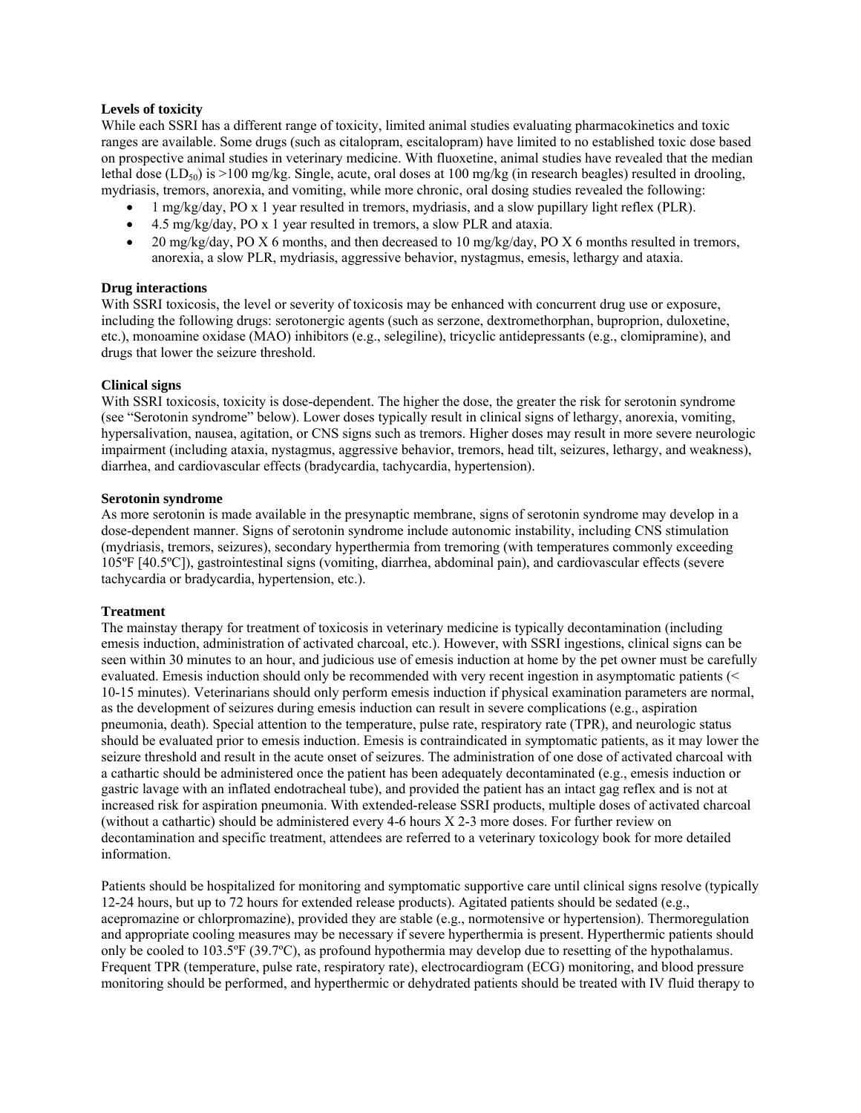## **Levels of toxicity**

While each SSRI has a different range of toxicity, limited animal studies evaluating pharmacokinetics and toxic ranges are available. Some drugs (such as citalopram, escitalopram) have limited to no established toxic dose based on prospective animal studies in veterinary medicine. With fluoxetine, animal studies have revealed that the median lethal dose (LD<sub>50</sub>) is >100 mg/kg. Single, acute, oral doses at 100 mg/kg (in research beagles) resulted in drooling, mydriasis, tremors, anorexia, and vomiting, while more chronic, oral dosing studies revealed the following:

- 1 mg/kg/day, PO x 1 year resulted in tremors, mydriasis, and a slow pupillary light reflex (PLR).
- 4.5 mg/kg/day, PO x 1 year resulted in tremors, a slow PLR and ataxia.
- 20 mg/kg/day, PO X 6 months, and then decreased to 10 mg/kg/day, PO X 6 months resulted in tremors, anorexia, a slow PLR, mydriasis, aggressive behavior, nystagmus, emesis, lethargy and ataxia.

## **Drug interactions**

With SSRI toxicosis, the level or severity of toxicosis may be enhanced with concurrent drug use or exposure, including the following drugs: serotonergic agents (such as serzone, dextromethorphan, buproprion, duloxetine, etc.), monoamine oxidase (MAO) inhibitors (e.g., selegiline), tricyclic antidepressants (e.g., clomipramine), and drugs that lower the seizure threshold.

## **Clinical signs**

With SSRI toxicosis, toxicity is dose-dependent. The higher the dose, the greater the risk for serotonin syndrome (see "Serotonin syndrome" below). Lower doses typically result in clinical signs of lethargy, anorexia, vomiting, hypersalivation, nausea, agitation, or CNS signs such as tremors. Higher doses may result in more severe neurologic impairment (including ataxia, nystagmus, aggressive behavior, tremors, head tilt, seizures, lethargy, and weakness), diarrhea, and cardiovascular effects (bradycardia, tachycardia, hypertension).

### **Serotonin syndrome**

As more serotonin is made available in the presynaptic membrane, signs of serotonin syndrome may develop in a dose-dependent manner. Signs of serotonin syndrome include autonomic instability, including CNS stimulation (mydriasis, tremors, seizures), secondary hyperthermia from tremoring (with temperatures commonly exceeding 105ºF [40.5ºC]), gastrointestinal signs (vomiting, diarrhea, abdominal pain), and cardiovascular effects (severe tachycardia or bradycardia, hypertension, etc.).

### **Treatment**

The mainstay therapy for treatment of toxicosis in veterinary medicine is typically decontamination (including emesis induction, administration of activated charcoal, etc.). However, with SSRI ingestions, clinical signs can be seen within 30 minutes to an hour, and judicious use of emesis induction at home by the pet owner must be carefully evaluated. Emesis induction should only be recommended with very recent ingestion in asymptomatic patients (< 10-15 minutes). Veterinarians should only perform emesis induction if physical examination parameters are normal, as the development of seizures during emesis induction can result in severe complications (e.g., aspiration pneumonia, death). Special attention to the temperature, pulse rate, respiratory rate (TPR), and neurologic status should be evaluated prior to emesis induction. Emesis is contraindicated in symptomatic patients, as it may lower the seizure threshold and result in the acute onset of seizures. The administration of one dose of activated charcoal with a cathartic should be administered once the patient has been adequately decontaminated (e.g., emesis induction or gastric lavage with an inflated endotracheal tube), and provided the patient has an intact gag reflex and is not at increased risk for aspiration pneumonia. With extended-release SSRI products, multiple doses of activated charcoal (without a cathartic) should be administered every 4-6 hours X 2-3 more doses. For further review on decontamination and specific treatment, attendees are referred to a veterinary toxicology book for more detailed information.

Patients should be hospitalized for monitoring and symptomatic supportive care until clinical signs resolve (typically 12-24 hours, but up to 72 hours for extended release products). Agitated patients should be sedated (e.g., acepromazine or chlorpromazine), provided they are stable (e.g., normotensive or hypertension). Thermoregulation and appropriate cooling measures may be necessary if severe hyperthermia is present. Hyperthermic patients should only be cooled to 103.5ºF (39.7ºC), as profound hypothermia may develop due to resetting of the hypothalamus. Frequent TPR (temperature, pulse rate, respiratory rate), electrocardiogram (ECG) monitoring, and blood pressure monitoring should be performed, and hyperthermic or dehydrated patients should be treated with IV fluid therapy to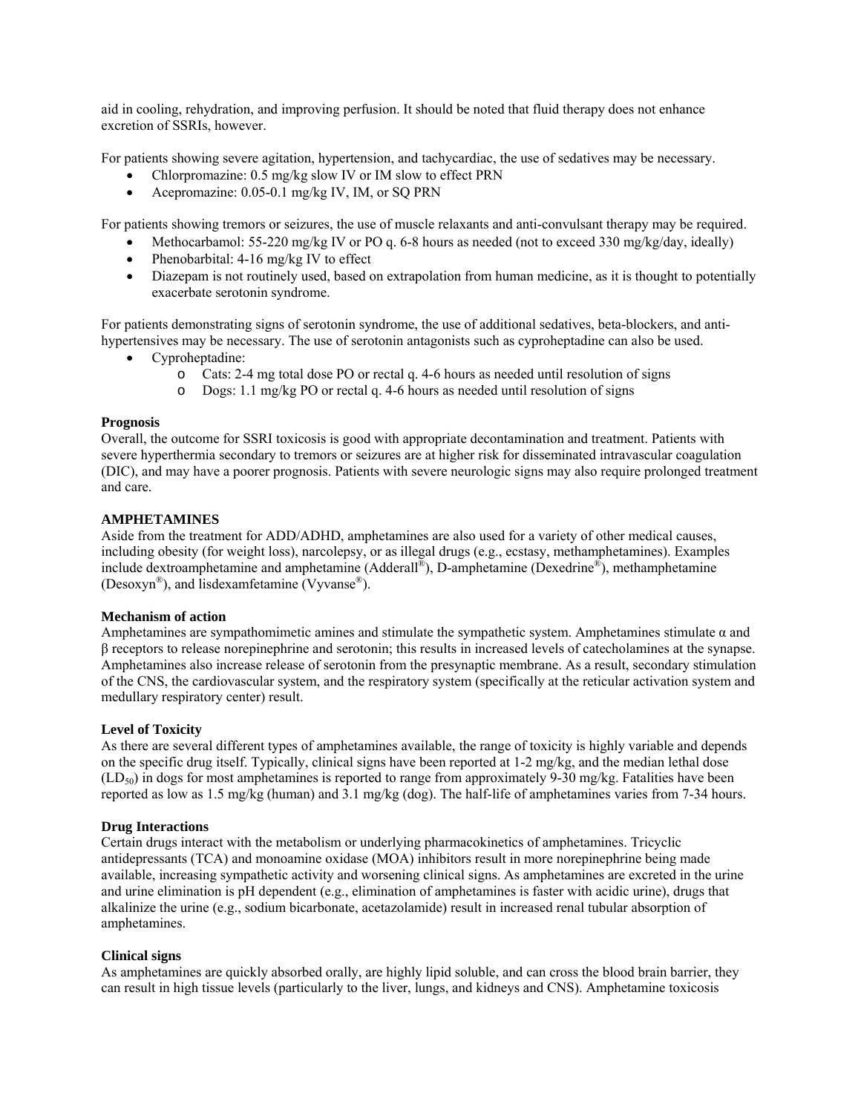aid in cooling, rehydration, and improving perfusion. It should be noted that fluid therapy does not enhance excretion of SSRIs, however.

For patients showing severe agitation, hypertension, and tachycardiac, the use of sedatives may be necessary.

- Chlorpromazine: 0.5 mg/kg slow IV or IM slow to effect PRN
- Acepromazine: 0.05-0.1 mg/kg IV, IM, or SQ PRN

For patients showing tremors or seizures, the use of muscle relaxants and anti-convulsant therapy may be required.

- Methocarbamol:  $55-220$  mg/kg IV or PO q. 6-8 hours as needed (not to exceed 330 mg/kg/day, ideally)
- Phenobarbital: 4-16 mg/kg IV to effect
- Diazepam is not routinely used, based on extrapolation from human medicine, as it is thought to potentially exacerbate serotonin syndrome.

hypertensives may be necessary. The use of serotonin antagonists such as cyproheptadine can also be used. For patients demonstrating signs of serotonin syndrome, the use of additional sedatives, beta-blockers, and anti-

- Cyproheptadine:
	- o Cats: 2-4 mg total dose PO or rectal q. 4-6 hours as needed until resolution of signs
	- o Dogs: 1.1 mg/kg PO or rectal q. 4-6 hours as needed until resolution of signs

### **Progn osis**

Overall, the outcome for SSRI toxicosis is good with appropriate decontamination and treatment. Patients with severe hyperthermia secondary to tremors or seizures are at higher risk for disseminated intravascular coagulation (DIC), and may have a poorer prognosis. Patients with severe neurologic signs may also require prolonged treatment and care .

### **AMPHETAMINES**

include dextroamphetamine and amphetamine (Adderall<sup>®</sup>), D-amphetamine (Dexedrine<sup>®</sup>), methamphetamine (Desoxyn<sup>®</sup>), and lisdexamfetamine (Vyvanse<sup>®</sup>). Aside from the treatment for ADD/ADHD, amphetamines are also used for a variety of other medical causes, including obesity (for weight loss), narcolepsy, or as illegal drugs (e.g., ecstasy, methamphetamines). Examples

### **Mechanism of action**

Amphetamines are sympathomimetic amines and stimulate the sympathetic system. Amphetamines stimulate  $\alpha$  and . β receptors to release norepinephrine and serotonin; this results in increased levels of catecholamines at the synapse Amphetamines also increase release of serotonin from the presynaptic membrane. As a result, secondary stimulation of the CNS, the cardiovascular system, and the respiratory system (specifically at the reticular activation system and medullary respiratory center) result.

### **Level of Toxicity**

 $(LD_{50})$  in dogs for most amphetamines is reported to range from approximately 9-30 mg/kg. Fatalities have been reported as low as 1.5 mg/kg (human) and 3.1 mg/kg (dog). The half-life of amphetamines varies from 7-34 hours. As there are several different types of amphetamines available, the range of toxicity is highly variable and depends on the specific drug itself. Typically, clinical signs have been reported at 1-2 mg/kg, and the median lethal dose

### **Drug Interactions**

and urine elimination is pH dependent (e.g., elimination of amphetamines is faster with acidic urine), drugs that alkalinize the urine (e.g., sodium bicarbonate, acetazolamide) result in increased renal tubular absorption of Certain drugs interact with the metabolism or underlying pharmacokinetics of amphetamines. Tricyclic antidepressants (TCA) and monoamine oxidase (MOA) inhibitors result in more norepinephrine being made available, increasing sympathetic activity and worsening clinical signs. As amphetamines are excreted in the urine amphetamines.

### **Clinical signs**

can result in high tissue levels (particularly to the liver, lungs, and kidneys and CNS). Amphetamine toxicosis As amphetamines are quickly absorbed orally, are highly lipid soluble, and can cross the blood brain barrier, they